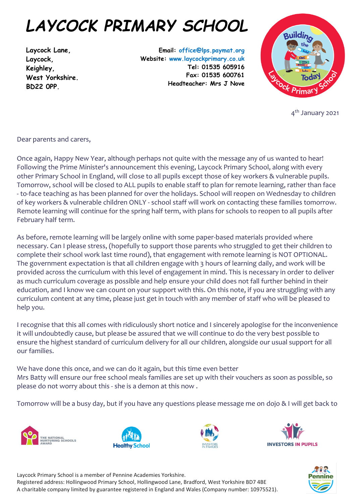## *LAYCOCK PRIMARY SCHOOL*

**Laycock Lane, Laycock, Keighley, West Yorkshire. BD22 0PP.**

**Email: office@lps.paymat.org Website: www.laycockprimary.co.uk Tel: 01535 605916 Fax: 01535 600761 Headteacher: Mrs J Nove**



4<sup>th</sup> January 2021

Dear parents and carers,

Once again, Happy New Year, although perhaps not quite with the message any of us wanted to hear! Following the Prime Minister's announcement this evening, Laycock Primary School, along with every other Primary School in England, will close to all pupils except those of key workers & vulnerable pupils. Tomorrow, school will be closed to ALL pupils to enable staff to plan for remote learning, rather than face - to-face teaching as has been planned for over the holidays. School will reopen on Wednesday to children of key workers & vulnerable children ONLY - school staff will work on contacting these families tomorrow. Remote learning will continue for the spring half term, with plans for schools to reopen to all pupils after February half term.

As before, remote learning will be largely online with some paper-based materials provided where necessary. Can I please stress, (hopefully to support those parents who struggled to get their children to complete their school work last time round), that engagement with remote learning is NOT OPTIONAL. The government expectation is that all children engage with 3 hours of learning daily, and work will be provided across the curriculum with this level of engagement in mind. This is necessary in order to deliver as much curriculum coverage as possible and help ensure your child does not fall further behind in their education, and I know we can count on your support with this. On this note, if you are struggling with any curriculum content at any time, please just get in touch with any member of staff who will be pleased to help you.

I recognise that this all comes with ridiculously short notice and I sincerely apologise for the inconvenience it will undoubtedly cause, but please be assured that we will continue to do the very best possible to ensure the highest standard of curriculum delivery for all our children, alongside our usual support for all our families.

We have done this once, and we can do it again, but this time even better Mrs Batty will ensure our free school meals families are set up with their vouchers as soon as possible, so please do not worry about this - she is a demon at this now .

Tomorrow will be a busy day, but if you have any questions please message me on dojo & I will get back to











Laycock Primary School is a member of Pennine Academies Yorkshire. Registered address: Hollingwood Primary School, Hollingwood Lane, Bradford, West Yorkshire BD7 4BE A charitable company limited by guarantee registered in England and Wales (Company number: 10975521).